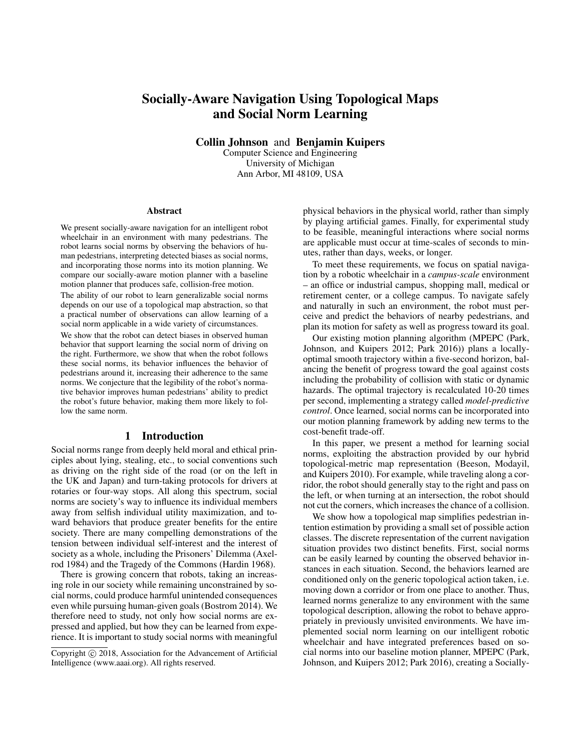# Socially-Aware Navigation Using Topological Maps and Social Norm Learning

Collin Johnson and Benjamin Kuipers

Computer Science and Engineering University of Michigan Ann Arbor, MI 48109, USA

#### **Abstract**

We present socially-aware navigation for an intelligent robot wheelchair in an environment with many pedestrians. The robot learns social norms by observing the behaviors of human pedestrians, interpreting detected biases as social norms, and incorporating those norms into its motion planning. We compare our socially-aware motion planner with a baseline motion planner that produces safe, collision-free motion.

The ability of our robot to learn generalizable social norms depends on our use of a topological map abstraction, so that a practical number of observations can allow learning of a social norm applicable in a wide variety of circumstances.

We show that the robot can detect biases in observed human behavior that support learning the social norm of driving on the right. Furthermore, we show that when the robot follows these social norms, its behavior influences the behavior of pedestrians around it, increasing their adherence to the same norms. We conjecture that the legibility of the robot's normative behavior improves human pedestrians' ability to predict the robot's future behavior, making them more likely to follow the same norm.

#### 1 Introduction

Social norms range from deeply held moral and ethical principles about lying, stealing, etc., to social conventions such as driving on the right side of the road (or on the left in the UK and Japan) and turn-taking protocols for drivers at rotaries or four-way stops. All along this spectrum, social norms are society's way to influence its individual members away from selfish individual utility maximization, and toward behaviors that produce greater benefits for the entire society. There are many compelling demonstrations of the tension between individual self-interest and the interest of society as a whole, including the Prisoners' Dilemma (Axelrod 1984) and the Tragedy of the Commons (Hardin 1968).

There is growing concern that robots, taking an increasing role in our society while remaining unconstrained by social norms, could produce harmful unintended consequences even while pursuing human-given goals (Bostrom 2014). We therefore need to study, not only how social norms are expressed and applied, but how they can be learned from experience. It is important to study social norms with meaningful

physical behaviors in the physical world, rather than simply by playing artificial games. Finally, for experimental study to be feasible, meaningful interactions where social norms are applicable must occur at time-scales of seconds to minutes, rather than days, weeks, or longer.

To meet these requirements, we focus on spatial navigation by a robotic wheelchair in a *campus-scale* environment – an office or industrial campus, shopping mall, medical or retirement center, or a college campus. To navigate safely and naturally in such an environment, the robot must perceive and predict the behaviors of nearby pedestrians, and plan its motion for safety as well as progress toward its goal.

Our existing motion planning algorithm (MPEPC (Park, Johnson, and Kuipers 2012; Park 2016)) plans a locallyoptimal smooth trajectory within a five-second horizon, balancing the benefit of progress toward the goal against costs including the probability of collision with static or dynamic hazards. The optimal trajectory is recalculated 10-20 times per second, implementing a strategy called *model-predictive control*. Once learned, social norms can be incorporated into our motion planning framework by adding new terms to the cost-benefit trade-off.

In this paper, we present a method for learning social norms, exploiting the abstraction provided by our hybrid topological-metric map representation (Beeson, Modayil, and Kuipers 2010). For example, while traveling along a corridor, the robot should generally stay to the right and pass on the left, or when turning at an intersection, the robot should not cut the corners, which increases the chance of a collision.

We show how a topological map simplifies pedestrian intention estimation by providing a small set of possible action classes. The discrete representation of the current navigation situation provides two distinct benefits. First, social norms can be easily learned by counting the observed behavior instances in each situation. Second, the behaviors learned are conditioned only on the generic topological action taken, i.e. moving down a corridor or from one place to another. Thus, learned norms generalize to any environment with the same topological description, allowing the robot to behave appropriately in previously unvisited environments. We have implemented social norm learning on our intelligent robotic wheelchair and have integrated preferences based on social norms into our baseline motion planner, MPEPC (Park, Johnson, and Kuipers 2012; Park 2016), creating a Socially-

Copyright (c) 2018, Association for the Advancement of Artificial Intelligence (www.aaai.org). All rights reserved.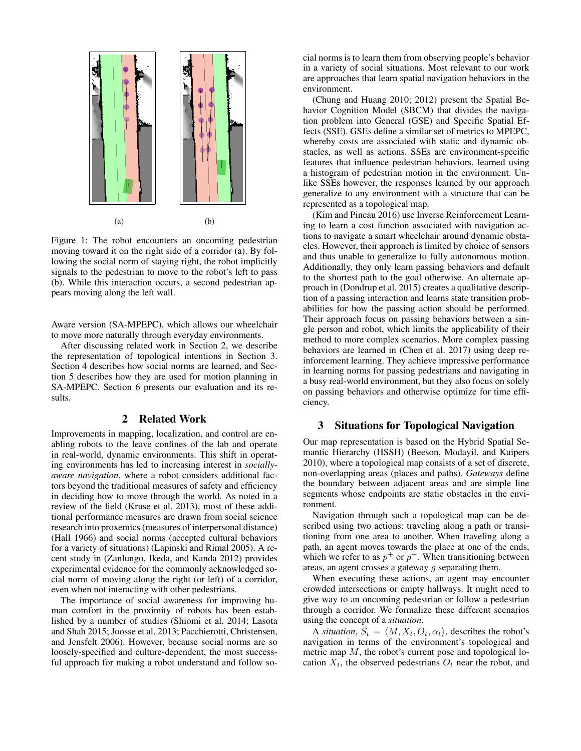

Figure 1: The robot encounters an oncoming pedestrian moving toward it on the right side of a corridor (a). By following the social norm of staying right, the robot implicitly signals to the pedestrian to move to the robot's left to pass (b). While this interaction occurs, a second pedestrian appears moving along the left wall.

Aware version (SA-MPEPC), which allows our wheelchair to move more naturally through everyday environments.

After discussing related work in Section 2, we describe the representation of topological intentions in Section 3. Section 4 describes how social norms are learned, and Section 5 describes how they are used for motion planning in SA-MPEPC. Section 6 presents our evaluation and its results.

# 2 Related Work

Improvements in mapping, localization, and control are enabling robots to the leave confines of the lab and operate in real-world, dynamic environments. This shift in operating environments has led to increasing interest in *sociallyaware navigation*, where a robot considers additional factors beyond the traditional measures of safety and efficiency in deciding how to move through the world. As noted in a review of the field (Kruse et al. 2013), most of these additional performance measures are drawn from social science research into proxemics (measures of interpersonal distance) (Hall 1966) and social norms (accepted cultural behaviors for a variety of situations) (Lapinski and Rimal 2005). A recent study in (Zanlungo, Ikeda, and Kanda 2012) provides experimental evidence for the commonly acknowledged social norm of moving along the right (or left) of a corridor, even when not interacting with other pedestrians.

The importance of social awareness for improving human comfort in the proximity of robots has been established by a number of studies (Shiomi et al. 2014; Lasota and Shah 2015; Joosse et al. 2013; Pacchierotti, Christensen, and Jensfelt 2006). However, because social norms are so loosely-specified and culture-dependent, the most successful approach for making a robot understand and follow social norms is to learn them from observing people's behavior in a variety of social situations. Most relevant to our work are approaches that learn spatial navigation behaviors in the environment.

(Chung and Huang 2010; 2012) present the Spatial Behavior Cognition Model (SBCM) that divides the navigation problem into General (GSE) and Specific Spatial Effects (SSE). GSEs define a similar set of metrics to MPEPC, whereby costs are associated with static and dynamic obstacles, as well as actions. SSEs are environment-specific features that influence pedestrian behaviors, learned using a histogram of pedestrian motion in the environment. Unlike SSEs however, the responses learned by our approach generalize to any environment with a structure that can be represented as a topological map.

(Kim and Pineau 2016) use Inverse Reinforcement Learning to learn a cost function associated with navigation actions to navigate a smart wheelchair around dynamic obstacles. However, their approach is limited by choice of sensors and thus unable to generalize to fully autonomous motion. Additionally, they only learn passing behaviors and default to the shortest path to the goal otherwise. An alternate approach in (Dondrup et al. 2015) creates a qualitative description of a passing interaction and learns state transition probabilities for how the passing action should be performed. Their approach focus on passing behaviors between a single person and robot, which limits the applicability of their method to more complex scenarios. More complex passing behaviors are learned in (Chen et al. 2017) using deep reinforcement learning. They achieve impressive performance in learning norms for passing pedestrians and navigating in a busy real-world environment, but they also focus on solely on passing behaviors and otherwise optimize for time efficiency.

# 3 Situations for Topological Navigation

Our map representation is based on the Hybrid Spatial Semantic Hierarchy (HSSH) (Beeson, Modayil, and Kuipers 2010), where a topological map consists of a set of discrete, non-overlapping areas (places and paths). *Gateways* define the boundary between adjacent areas and are simple line segments whose endpoints are static obstacles in the environment.

Navigation through such a topological map can be described using two actions: traveling along a path or transitioning from one area to another. When traveling along a path, an agent moves towards the place at one of the ends, which we refer to as  $p^+$  or  $p^-$ . When transitioning between areas, an agent crosses a gateway g separating them.

When executing these actions, an agent may encounter crowded intersections or empty hallways. It might need to give way to an oncoming pedestrian or follow a pedestrian through a corridor. We formalize these different scenarios using the concept of a *situation*.

A *situation*,  $S_t = \langle M, X_t, O_t, \alpha_t \rangle$ , describes the robot's navigation in terms of the environment's topological and metric map  $M$ , the robot's current pose and topological location  $X_t$ , the observed pedestrians  $O_t$  near the robot, and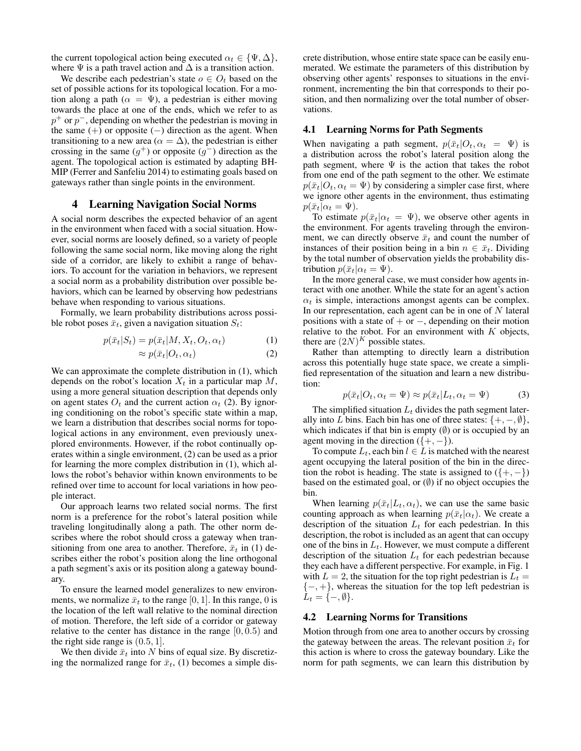the current topological action being executed  $\alpha_t \in {\Psi, \Delta},$ where  $\Psi$  is a path travel action and  $\Delta$  is a transition action.

We describe each pedestrian's state  $o \in O_t$  based on the set of possible actions for its topological location. For a motion along a path ( $\alpha = \Psi$ ), a pedestrian is either moving towards the place at one of the ends, which we refer to as  $p^{+}$  or  $p^{-}$ , depending on whether the pedestrian is moving in the same  $(+)$  or opposite  $(-)$  direction as the agent. When transitioning to a new area ( $\alpha = \Delta$ ), the pedestrian is either crossing in the same  $(g^+)$  or opposite  $(g^-)$  direction as the agent. The topological action is estimated by adapting BH-MIP (Ferrer and Sanfeliu 2014) to estimating goals based on gateways rather than single points in the environment.

#### 4 Learning Navigation Social Norms

A social norm describes the expected behavior of an agent in the environment when faced with a social situation. However, social norms are loosely defined, so a variety of people following the same social norm, like moving along the right side of a corridor, are likely to exhibit a range of behaviors. To account for the variation in behaviors, we represent a social norm as a probability distribution over possible behaviors, which can be learned by observing how pedestrians behave when responding to various situations.

Formally, we learn probability distributions across possible robot poses  $\bar{x}_t$ , given a navigation situation  $S_t$ :

$$
p(\bar{x}_t|S_t) = p(\bar{x}_t|M, X_t, O_t, \alpha_t)
$$
\n(1)

$$
\approx p(\bar{x}_t|O_t,\alpha_t) \tag{2}
$$

We can approximate the complete distribution in  $(1)$ , which depends on the robot's location  $X_t$  in a particular map  $M$ , using a more general situation description that depends only on agent states  $O_t$  and the current action  $\alpha_t$  (2). By ignoring conditioning on the robot's specific state within a map, we learn a distribution that describes social norms for topological actions in any environment, even previously unexplored environments. However, if the robot continually operates within a single environment, (2) can be used as a prior for learning the more complex distribution in (1), which allows the robot's behavior within known environments to be refined over time to account for local variations in how people interact.

Our approach learns two related social norms. The first norm is a preference for the robot's lateral position while traveling longitudinally along a path. The other norm describes where the robot should cross a gateway when transitioning from one area to another. Therefore,  $\bar{x}_t$  in (1) describes either the robot's position along the line orthogonal a path segment's axis or its position along a gateway boundary.

To ensure the learned model generalizes to new environments, we normalize  $\bar{x}_t$  to the range [0, 1]. In this range, 0 is the location of the left wall relative to the nominal direction of motion. Therefore, the left side of a corridor or gateway relative to the center has distance in the range  $[0, 0.5)$  and the right side range is  $(0.5, 1]$ .

We then divide  $\bar{x}_t$  into N bins of equal size. By discretizing the normalized range for  $\bar{x}_t$ , (1) becomes a simple discrete distribution, whose entire state space can be easily enumerated. We estimate the parameters of this distribution by observing other agents' responses to situations in the environment, incrementing the bin that corresponds to their position, and then normalizing over the total number of observations.

#### 4.1 Learning Norms for Path Segments

When navigating a path segment,  $p(\bar{x}_t|O_t, \alpha_t = \Psi)$  is a distribution across the robot's lateral position along the path segment, where  $\Psi$  is the action that takes the robot from one end of the path segment to the other. We estimate  $p(\bar{x}_t|O_t, \alpha_t = \Psi)$  by considering a simpler case first, where we ignore other agents in the environment, thus estimating  $p(\bar{x}_t|\alpha_t = \Psi).$ 

To estimate  $p(\bar{x}_t|\alpha_t = \Psi)$ , we observe other agents in the environment. For agents traveling through the environment, we can directly observe  $\bar{x}_t$  and count the number of instances of their position being in a bin  $n \in \bar{x}_t$ . Dividing by the total number of observation yields the probability distribution  $p(\bar{x}_t|\alpha_t = \Psi)$ .

In the more general case, we must consider how agents interact with one another. While the state for an agent's action  $\alpha_t$  is simple, interactions amongst agents can be complex. In our representation, each agent can be in one of  $N$  lateral positions with a state of  $+$  or  $-$ , depending on their motion relative to the robot. For an environment with  $K$  objects, there are  $(2N)^K$  possible states.

Rather than attempting to directly learn a distribution across this potentially huge state space, we create a simplified representation of the situation and learn a new distribution:

$$
p(\bar{x}_t|O_t, \alpha_t = \Psi) \approx p(\bar{x}_t|L_t, \alpha_t = \Psi)
$$
\n(3)

The simplified situation  $L_t$  divides the path segment laterally into L bins. Each bin has one of three states:  $\{+, -, \emptyset\}$ , which indicates if that bin is empty  $(\emptyset)$  or is occupied by an agent moving in the direction  $({+, -})$ .

To compute  $L_t$ , each bin  $l \in L$  is matched with the nearest agent occupying the lateral position of the bin in the direction the robot is heading. The state is assigned to  $(\{+, -\})$ based on the estimated goal, or  $(\emptyset)$  if no object occupies the bin.

When learning  $p(\bar{x}_t|L_t, \alpha_t)$ , we can use the same basic counting approach as when learning  $p(\bar{x}_t|\alpha_t)$ . We create a description of the situation  $L_t$  for each pedestrian. In this description, the robot is included as an agent that can occupy one of the bins in  $L_t$ . However, we must compute a different description of the situation  $L_t$  for each pedestrian because they each have a different perspective. For example, in Fig. 1 with  $L = 2$ , the situation for the top right pedestrian is  $L_t =$  ${-, +}$ , whereas the situation for the top left pedestrian is  $L_t = \{-,\emptyset\}.$ 

## 4.2 Learning Norms for Transitions

Motion through from one area to another occurs by crossing the gateway between the areas. The relevant position  $\bar{x}_t$  for this action is where to cross the gateway boundary. Like the norm for path segments, we can learn this distribution by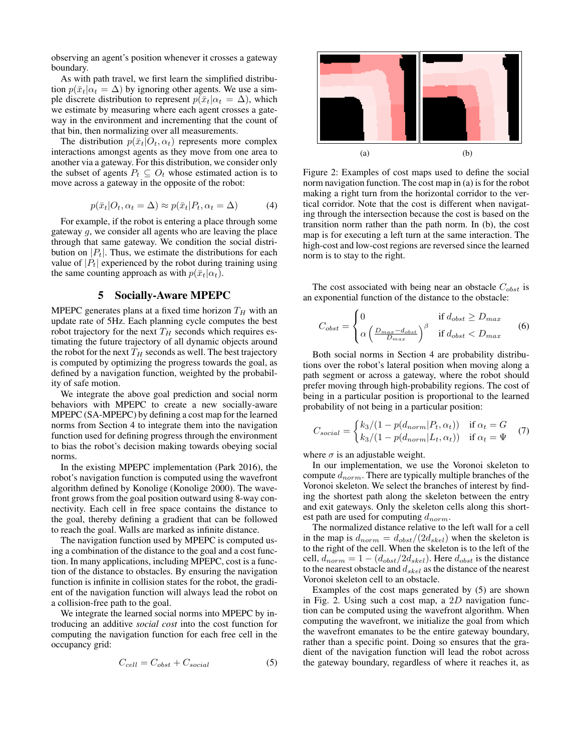observing an agent's position whenever it crosses a gateway boundary.

As with path travel, we first learn the simplified distribution  $p(\bar{x}_t|\alpha_t = \Delta)$  by ignoring other agents. We use a simple discrete distribution to represent  $p(\bar{x}_t|\alpha_t = \Delta)$ , which we estimate by measuring where each agent crosses a gateway in the environment and incrementing that the count of that bin, then normalizing over all measurements.

The distribution  $p(\bar{x}_t|O_t, \alpha_t)$  represents more complex interactions amongst agents as they move from one area to another via a gateway. For this distribution, we consider only the subset of agents  $P_t \subseteq O_t$  whose estimated action is to move across a gateway in the opposite of the robot:

$$
p(\bar{x}_t|O_t, \alpha_t = \Delta) \approx p(\bar{x}_t|P_t, \alpha_t = \Delta)
$$
 (4)

For example, if the robot is entering a place through some gateway  $q$ , we consider all agents who are leaving the place through that same gateway. We condition the social distribution on  $|P_t|$ . Thus, we estimate the distributions for each value of  $|P_t|$  experienced by the robot during training using the same counting approach as with  $p(\bar{x}_t|\alpha_t)$ .

## 5 Socially-Aware MPEPC

MPEPC generates plans at a fixed time horizon  $T_H$  with an update rate of 5Hz. Each planning cycle computes the best robot trajectory for the next  $T_H$  seconds which requires estimating the future trajectory of all dynamic objects around the robot for the next  $T_H$  seconds as well. The best trajectory is computed by optimizing the progress towards the goal, as defined by a navigation function, weighted by the probability of safe motion.

We integrate the above goal prediction and social norm behaviors with MPEPC to create a new socially-aware MPEPC (SA-MPEPC) by defining a cost map for the learned norms from Section 4 to integrate them into the navigation function used for defining progress through the environment to bias the robot's decision making towards obeying social norms.

In the existing MPEPC implementation (Park 2016), the robot's navigation function is computed using the wavefront algorithm defined by Konolige (Konolige 2000). The wavefront grows from the goal position outward using 8-way connectivity. Each cell in free space contains the distance to the goal, thereby defining a gradient that can be followed to reach the goal. Walls are marked as infinite distance.

The navigation function used by MPEPC is computed using a combination of the distance to the goal and a cost function. In many applications, including MPEPC, cost is a function of the distance to obstacles. By ensuring the navigation function is infinite in collision states for the robot, the gradient of the navigation function will always lead the robot on a collision-free path to the goal.

We integrate the learned social norms into MPEPC by introducing an additive *social cost* into the cost function for computing the navigation function for each free cell in the occupancy grid:

$$
C_{cell} = C_{obst} + C_{social} \tag{5}
$$



Figure 2: Examples of cost maps used to define the social norm navigation function. The cost map in (a) is for the robot making a right turn from the horizontal corridor to the vertical corridor. Note that the cost is different when navigating through the intersection because the cost is based on the transition norm rather than the path norm. In (b), the cost map is for executing a left turn at the same interaction. The high-cost and low-cost regions are reversed since the learned norm is to stay to the right.

The cost associated with being near an obstacle  $C_{obst}$  is an exponential function of the distance to the obstacle:

$$
C_{obst} = \begin{cases} 0 & \text{if } d_{obst} \ge D_{max} \\ \alpha \left( \frac{D_{max} - d_{obst}}{D_{max}} \right)^{\beta} & \text{if } d_{obst} < D_{max} \end{cases}
$$
 (6)

Both social norms in Section 4 are probability distributions over the robot's lateral position when moving along a path segment or across a gateway, where the robot should prefer moving through high-probability regions. The cost of being in a particular position is proportional to the learned probability of not being in a particular position:

$$
C_{social} = \begin{cases} k_3/(1 - p(d_{norm}|P_t, \alpha_t)) & \text{if } \alpha_t = G\\ k_3/(1 - p(d_{norm}|L_t, \alpha_t)) & \text{if } \alpha_t = \Psi \end{cases}
$$
 (7)

where  $\sigma$  is an adjustable weight.

In our implementation, we use the Voronoi skeleton to compute  $d_{norm}$ . There are typically multiple branches of the Voronoi skeleton. We select the branches of interest by finding the shortest path along the skeleton between the entry and exit gateways. Only the skeleton cells along this shortest path are used for computing  $d_{norm}$ .

The normalized distance relative to the left wall for a cell in the map is  $d_{norm} = d_{obst}/(2d_{skel})$  when the skeleton is to the right of the cell. When the skeleton is to the left of the cell,  $d_{norm} = 1 - (d_{obst}/2d_{skel})$ . Here  $d_{obst}$  is the distance to the nearest obstacle and  $d_{skel}$  as the distance of the nearest Voronoi skeleton cell to an obstacle.

Examples of the cost maps generated by (5) are shown in Fig. 2. Using such a cost map, a  $2D$  navigation function can be computed using the wavefront algorithm. When computing the wavefront, we initialize the goal from which the wavefront emanates to be the entire gateway boundary, rather than a specific point. Doing so ensures that the gradient of the navigation function will lead the robot across the gateway boundary, regardless of where it reaches it, as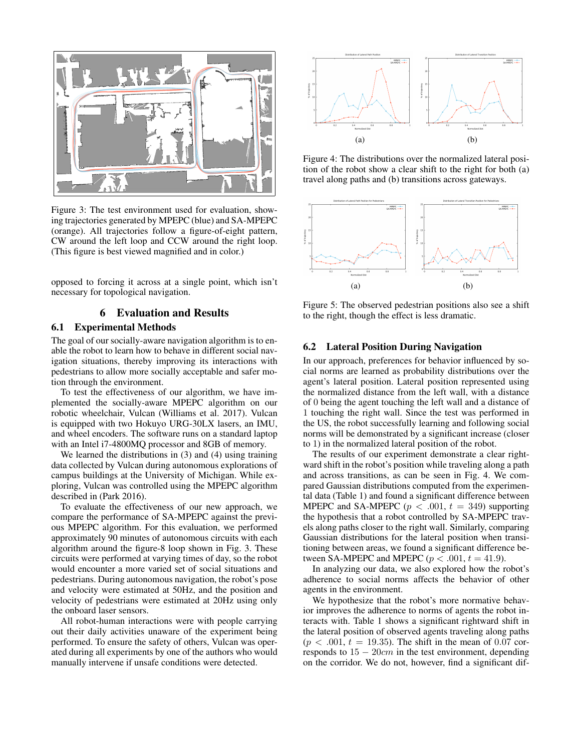

Figure 3: The test environment used for evaluation, showing trajectories generated by MPEPC (blue) and SA-MPEPC (orange). All trajectories follow a figure-of-eight pattern, CW around the left loop and CCW around the right loop. (This figure is best viewed magnified and in color.)

opposed to forcing it across at a single point, which isn't necessary for topological navigation.

# 6 Evaluation and Results

#### 6.1 Experimental Methods

The goal of our socially-aware navigation algorithm is to enable the robot to learn how to behave in different social navigation situations, thereby improving its interactions with pedestrians to allow more socially acceptable and safer motion through the environment.

To test the effectiveness of our algorithm, we have implemented the socially-aware MPEPC algorithm on our robotic wheelchair, Vulcan (Williams et al. 2017). Vulcan is equipped with two Hokuyo URG-30LX lasers, an IMU, and wheel encoders. The software runs on a standard laptop with an Intel i7-4800MQ processor and 8GB of memory.

We learned the distributions in (3) and (4) using training data collected by Vulcan during autonomous explorations of campus buildings at the University of Michigan. While exploring, Vulcan was controlled using the MPEPC algorithm described in (Park 2016).

To evaluate the effectiveness of our new approach, we compare the performance of SA-MPEPC against the previous MPEPC algorithm. For this evaluation, we performed approximately 90 minutes of autonomous circuits with each algorithm around the figure-8 loop shown in Fig. 3. These circuits were performed at varying times of day, so the robot would encounter a more varied set of social situations and pedestrians. During autonomous navigation, the robot's pose and velocity were estimated at 50Hz, and the position and velocity of pedestrians were estimated at 20Hz using only the onboard laser sensors.

All robot-human interactions were with people carrying out their daily activities unaware of the experiment being performed. To ensure the safety of others, Vulcan was operated during all experiments by one of the authors who would manually intervene if unsafe conditions were detected.



Figure 4: The distributions over the normalized lateral position of the robot show a clear shift to the right for both (a) travel along paths and (b) transitions across gateways.



Figure 5: The observed pedestrian positions also see a shift to the right, though the effect is less dramatic.

# 6.2 Lateral Position During Navigation

In our approach, preferences for behavior influenced by social norms are learned as probability distributions over the agent's lateral position. Lateral position represented using the normalized distance from the left wall, with a distance of 0 being the agent touching the left wall and a distance of 1 touching the right wall. Since the test was performed in the US, the robot successfully learning and following social norms will be demonstrated by a significant increase (closer to 1) in the normalized lateral position of the robot.

The results of our experiment demonstrate a clear rightward shift in the robot's position while traveling along a path and across transitions, as can be seen in Fig. 4. We compared Gaussian distributions computed from the experimental data (Table 1) and found a significant difference between MPEPC and SA-MPEPC ( $p < .001$ ,  $t = 349$ ) supporting the hypothesis that a robot controlled by SA-MPEPC travels along paths closer to the right wall. Similarly, comparing Gaussian distributions for the lateral position when transitioning between areas, we found a significant difference between SA-MPEPC and MPEPC ( $p < .001$ ,  $t = 41.9$ ).

In analyzing our data, we also explored how the robot's adherence to social norms affects the behavior of other agents in the environment.

We hypothesize that the robot's more normative behavior improves the adherence to norms of agents the robot interacts with. Table 1 shows a significant rightward shift in the lateral position of observed agents traveling along paths  $(p < .001, t = 19.35)$ . The shift in the mean of 0.07 corresponds to  $15 - 20$ cm in the test environment, depending on the corridor. We do not, however, find a significant dif-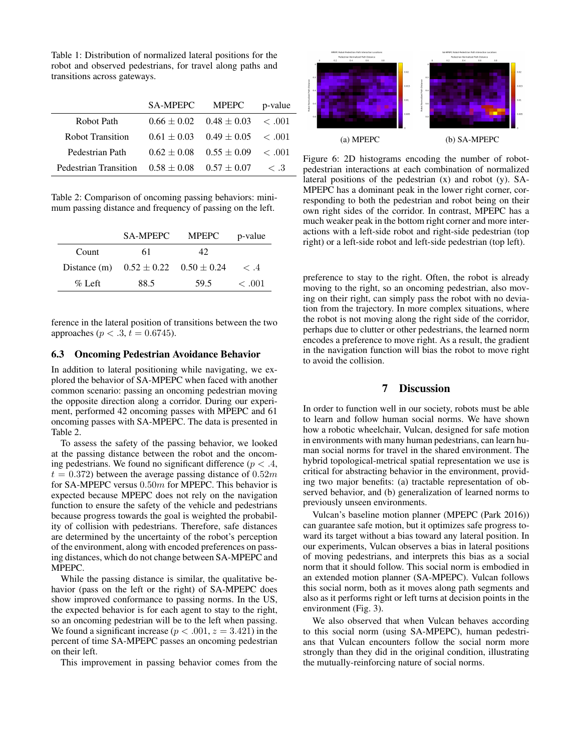Table 1: Distribution of normalized lateral positions for the robot and observed pedestrians, for travel along paths and transitions across gateways.

|                                                       | SA-MPEPC | MPEPC                                  | p-value      |
|-------------------------------------------------------|----------|----------------------------------------|--------------|
| Robot Path                                            |          | $0.66 \pm 0.02$ $0.48 \pm 0.03$ < 0.01 |              |
| Robot Transition                                      |          | $0.61 \pm 0.03$ $0.49 \pm 0.05$ < 0.01 |              |
| Pedestrian Path                                       |          | $0.62 \pm 0.08$ $0.55 \pm 0.09$ < 0.01 |              |
| Pedestrian Transition $0.58 \pm 0.08$ $0.57 \pm 0.07$ |          |                                        | $\langle .3$ |

Table 2: Comparison of oncoming passing behaviors: minimum passing distance and frequency of passing on the left.

|           | <b>SA-MPEPC</b>                              | <b>MPEPC</b> | p-value |
|-----------|----------------------------------------------|--------------|---------|
| Count     | 61                                           | 42.          |         |
|           | Distance (m) $0.52 \pm 0.22$ $0.50 \pm 0.24$ |              | $\lt$ 4 |
| $\%$ Left | 88.5                                         | 59.5         | <.001   |

ference in the lateral position of transitions between the two approaches ( $p < .3, t = 0.6745$ ).

# 6.3 Oncoming Pedestrian Avoidance Behavior

In addition to lateral positioning while navigating, we explored the behavior of SA-MPEPC when faced with another common scenario: passing an oncoming pedestrian moving the opposite direction along a corridor. During our experiment, performed 42 oncoming passes with MPEPC and 61 oncoming passes with SA-MPEPC. The data is presented in Table 2.

To assess the safety of the passing behavior, we looked at the passing distance between the robot and the oncoming pedestrians. We found no significant difference ( $p < .4$ ,  $t = 0.372$ ) between the average passing distance of  $0.52m$ for SA-MPEPC versus 0.50m for MPEPC. This behavior is expected because MPEPC does not rely on the navigation function to ensure the safety of the vehicle and pedestrians because progress towards the goal is weighted the probability of collision with pedestrians. Therefore, safe distances are determined by the uncertainty of the robot's perception of the environment, along with encoded preferences on passing distances, which do not change between SA-MPEPC and MPEPC.

While the passing distance is similar, the qualitative behavior (pass on the left or the right) of SA-MPEPC does show improved conformance to passing norms. In the US, the expected behavior is for each agent to stay to the right, so an oncoming pedestrian will be to the left when passing. We found a significant increase ( $p < .001$ ,  $z = 3.421$ ) in the percent of time SA-MPEPC passes an oncoming pedestrian on their left.

This improvement in passing behavior comes from the



Figure 6: 2D histograms encoding the number of robotpedestrian interactions at each combination of normalized lateral positions of the pedestrian (x) and robot (y). SA-MPEPC has a dominant peak in the lower right corner, corresponding to both the pedestrian and robot being on their own right sides of the corridor. In contrast, MPEPC has a much weaker peak in the bottom right corner and more interactions with a left-side robot and right-side pedestrian (top right) or a left-side robot and left-side pedestrian (top left).

preference to stay to the right. Often, the robot is already moving to the right, so an oncoming pedestrian, also moving on their right, can simply pass the robot with no deviation from the trajectory. In more complex situations, where the robot is not moving along the right side of the corridor, perhaps due to clutter or other pedestrians, the learned norm encodes a preference to move right. As a result, the gradient in the navigation function will bias the robot to move right to avoid the collision.

# 7 Discussion

In order to function well in our society, robots must be able to learn and follow human social norms. We have shown how a robotic wheelchair, Vulcan, designed for safe motion in environments with many human pedestrians, can learn human social norms for travel in the shared environment. The hybrid topological-metrical spatial representation we use is critical for abstracting behavior in the environment, providing two major benefits: (a) tractable representation of observed behavior, and (b) generalization of learned norms to previously unseen environments.

Vulcan's baseline motion planner (MPEPC (Park 2016)) can guarantee safe motion, but it optimizes safe progress toward its target without a bias toward any lateral position. In our experiments, Vulcan observes a bias in lateral positions of moving pedestrians, and interprets this bias as a social norm that it should follow. This social norm is embodied in an extended motion planner (SA-MPEPC). Vulcan follows this social norm, both as it moves along path segments and also as it performs right or left turns at decision points in the environment (Fig. 3).

We also observed that when Vulcan behaves according to this social norm (using SA-MPEPC), human pedestrians that Vulcan encounters follow the social norm more strongly than they did in the original condition, illustrating the mutually-reinforcing nature of social norms.